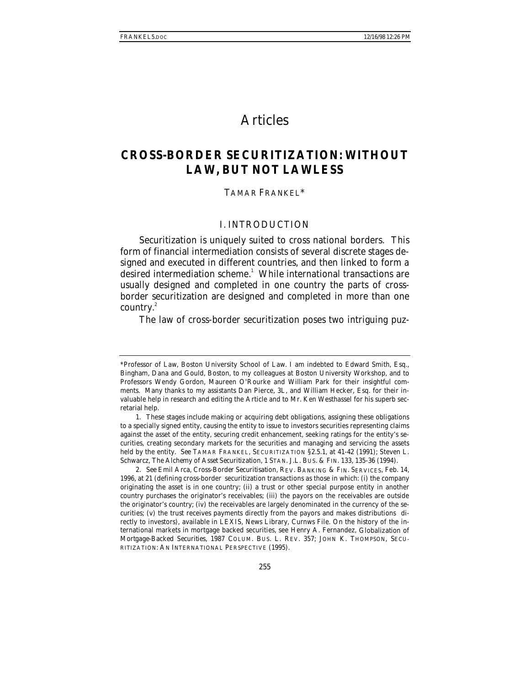# Articles

# **CROSS-BORDER SECURITIZATION: WITHOUT LAW, BUT NOT LAWLESS**

## TAMAR FRANKEL\*

## I. INTRODUCTION

Securitization is uniquely suited to cross national borders. This form of financial intermediation consists of several discrete stages designed and executed in different countries, and then linked to form a desired intermediation scheme.<sup>1</sup> While international transactions are usually designed and completed in one country the parts of crossborder securitization are designed and completed in more than one country.<sup>2</sup>

The law of cross-border securitization poses two intriguing puz-

<sup>\*</sup>Professor of Law, Boston University School of Law. I am indebted to Edward Smith, Esq., Bingham, Dana and Gould, Boston, to my colleagues at Boston University Workshop, and to Professors Wendy Gordon, Maureen O'Rourke and William Park for their insightful comments. Many thanks to my assistants Dan Pierce, 3L, and William Hecker, Esq. for their invaluable help in research and editing the Article and to Mr. Ken Westhassel for his superb secretarial help.

<sup>1.</sup> These stages include making or acquiring debt obligations, assigning these obligations to a specially signed entity, causing the entity to issue to investors securities representing claims against the asset of the entity, securing credit enhancement, seeking ratings for the entity's securities, creating secondary markets for the securities and managing and servicing the assets held by the entity. *See* TAMAR FRANKEL, SECURITIZATION §2.5.1, at 41-42 (1991); Steven L. Schwarcz, *The Alchemy of Asset Securitization*, 1 STAN. J.L. BUS. & FIN. 133, 135-36 (1994).

<sup>2.</sup> *See* Emil Arca, *Cross-Border Securitisation,* REV. BANKING & FIN. SERVICES, Feb. 14, 1996, at 21 (defining cross-border securitization transactions as those in which: (i) the company originating the asset is in one country; (ii) a trust or other special purpose entity in another country purchases the originator's receivables; (iii) the payors on the receivables are outside the originator's country; (iv) the receivables are largely denominated in the currency of the securities; (v) the trust receives payments directly from the payors and makes distributions directly to investors), *available in* LEXIS, News Library, Curnws File. On the history of the international markets in mortgage backed securities, see Henry A. Fernandez, *Globalization of Mortgage-Backed Securities*, 1987 COLUM. BUS. L. REV. 357; JOHN K. THOMPSON, SECU-RITIZATION: AN INTERNATIONAL PERSPECTIVE (1995).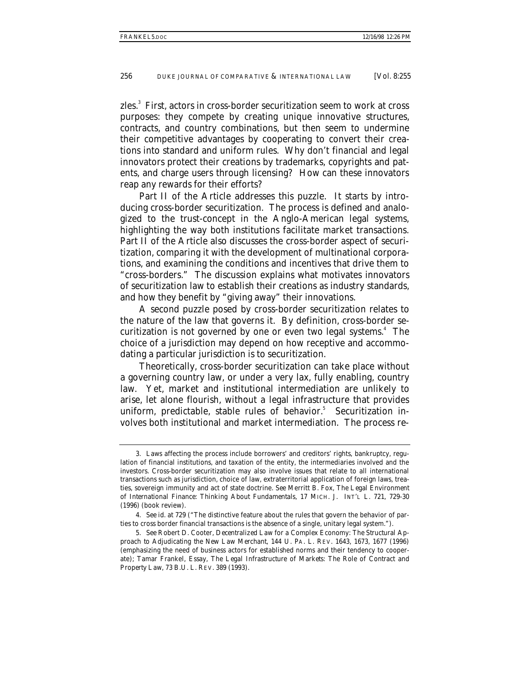zles. $^{\rm 3}$  First, actors in cross-border securitization seem to work at cross purposes: they compete by creating unique innovative structures, contracts, and country combinations, but then seem to undermine their competitive advantages by cooperating to convert their creations into standard and uniform rules. Why don't financial and legal innovators protect their creations by trademarks, copyrights and patents, and charge users through licensing? How can these innovators reap any rewards for their efforts?

Part II of the Article addresses this puzzle. It starts by introducing cross-border securitization. The process is defined and analogized to the trust-concept in the Anglo-American legal systems, highlighting the way both institutions facilitate market transactions. Part II of the Article also discusses the cross-border aspect of securitization, comparing it with the development of multinational corporations, and examining the conditions and incentives that drive them to "cross-borders." The discussion explains what motivates innovators of securitization law to establish their creations as industry standards, and how they benefit by "giving away" their innovations.

A second puzzle posed by cross-border securitization relates to the nature of the law that governs it. By definition, cross-border securitization is not governed by one or even two legal systems.<sup>4</sup> The choice of a jurisdiction may depend on how receptive and accommodating a particular jurisdiction is to securitization.

Theoretically, cross-border securitization can take place without a governing country law, or under a very lax, fully enabling, country law. Yet, market and institutional intermediation are unlikely to arise, let alone flourish, without a legal infrastructure that provides uniform, predictable, stable rules of behavior.<sup>5</sup> Securitization involves both institutional and market intermediation. The process re-

<sup>3.</sup> Laws affecting the process include borrowers' and creditors' rights, bankruptcy, regulation of financial institutions, and taxation of the entity, the intermediaries involved and the investors. Cross-border securitization may also involve issues that relate to all international transactions such as jurisdiction, choice of law, extraterritorial application of foreign laws, treaties, sovereign immunity and act of state doctrine. *See* Merritt B. Fox, *The Legal Environment of International Finance: Thinking About Fundamentals,* 17 MICH. J. INT'L L. 721, 729-30 (1996) (book review).

<sup>4.</sup> *See id*. at 729 ("The distinctive feature about the rules that govern the behavior of parties to cross border financial transactions is the absence of a single, unitary legal system.").

<sup>5.</sup> *See* Robert D. Cooter, *Decentralized Law for a Complex Economy: The Structural Approach to Adjudicating the New Law Merchant,* 144 U. PA. L. REV. 1643, 1673, 1677 (1996) (emphasizing the need of business actors for established norms and their tendency to cooperate); Tamar Frankel, Essay, *The Legal Infrastructure of Markets: The Role of Contract and Property Law,* 73 B.U. L. REV. 389 (1993).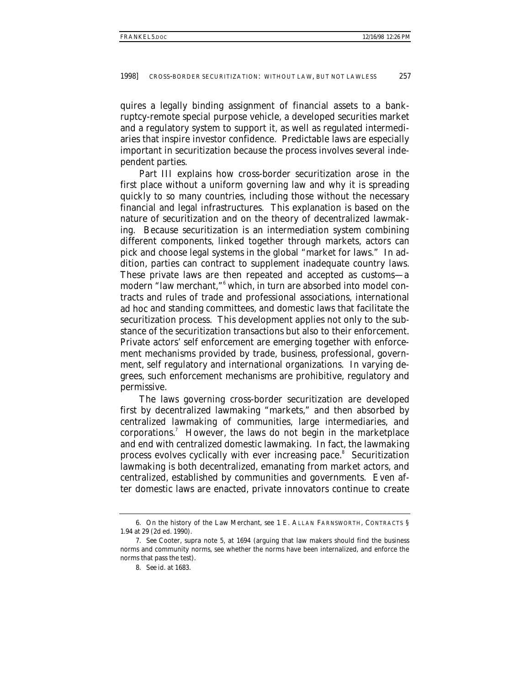quires a legally binding assignment of financial assets to a bankruptcy-remote special purpose vehicle, a developed securities market and a regulatory system to support it, as well as regulated intermediaries that inspire investor confidence. Predictable laws are especially important in securitization because the process involves several independent parties.

Part III explains how cross-border securitization arose in the first place without a uniform governing law and why it is spreading quickly to so many countries, including those without the necessary financial and legal infrastructures. This explanation is based on the nature of securitization and on the theory of decentralized lawmaking. Because securitization is an intermediation system combining different components, linked together through markets, actors can pick and choose legal systems in the global "market for laws." In addition, parties can contract to supplement inadequate country laws. These private laws are then repeated and accepted as customs—a modern "law merchant,"<sup>6</sup> which, in turn are absorbed into model contracts and rules of trade and professional associations, international *ad hoc* and standing committees, and domestic laws that facilitate the securitization process. This development applies not only to the substance of the securitization transactions but also to their enforcement. Private actors' self enforcement are emerging together with enforcement mechanisms provided by trade, business, professional, government, self regulatory and international organizations. In varying degrees, such enforcement mechanisms are prohibitive, regulatory and permissive.

The laws governing cross-border securitization are developed first by decentralized lawmaking "markets," and then absorbed by centralized lawmaking of communities, large intermediaries, and corporations.<sup>7</sup> However, the laws do not begin in the marketplace and end with centralized domestic lawmaking. In fact, the lawmaking process evolves cyclically with ever increasing pace.<sup>8</sup> Securitization lawmaking is both decentralized, emanating from market actors, and centralized, established by communities and governments. Even after domestic laws are enacted, private innovators continue to create

<sup>6.</sup> On the history of the Law Merchant, see 1 E. ALLAN FARNSWORTH, CONTRACTS § 1.94 at 29 (2d ed. 1990).

<sup>7.</sup> *See* Cooter, *supra* note 5, at 1694 (arguing that law makers should find the business norms and community norms, see whether the norms have been internalized, and enforce the norms that pass the test).

<sup>8.</sup> *See id.* at 1683.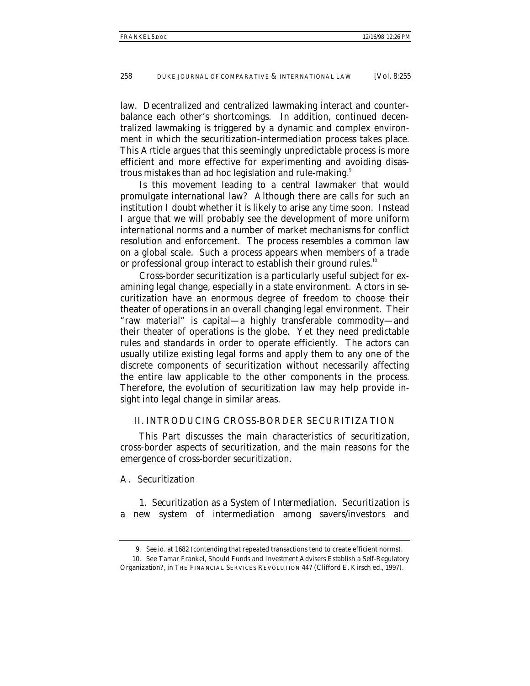law. Decentralized and centralized lawmaking interact and counterbalance each other's shortcomings. In addition, continued decentralized lawmaking is triggered by a dynamic and complex environment in which the securitization-intermediation process takes place. This Article argues that this seemingly unpredictable process is more efficient and more effective for experimenting and avoiding disastrous mistakes than *ad hoc* legislation and rule-making.<sup>9</sup>

Is this movement leading to a central lawmaker that would promulgate international law? Although there are calls for such an institution I doubt whether it is likely to arise any time soon. Instead I argue that we will probably see the development of more uniform international norms and a number of market mechanisms for conflict resolution and enforcement. The process resembles a common law on a global scale. Such a process appears when members of a trade or professional group interact to establish their ground rules.<sup>10</sup>

Cross-border securitization is a particularly useful subject for examining legal change, especially in a state environment. Actors in securitization have an enormous degree of freedom to choose their theater of operations in an overall changing legal environment. Their "raw material" is capital—a highly transferable commodity—and their theater of operations is the globe. Yet they need predictable rules and standards in order to operate efficiently. The actors can usually utilize existing legal forms and apply them to any one of the discrete components of securitization without necessarily affecting the entire law applicable to the other components in the process. Therefore, the evolution of securitization law may help provide insight into legal change in similar areas.

### II. INTRODUCING CROSS-BORDER SECURITIZATION

This Part discusses the main characteristics of securitization, cross-border aspects of securitization, and the main reasons for the emergence of cross-border securitization.

#### A. Securitization

1. *Securitization as a System of Intermediation*. Securitization is a new system of intermediation among savers/investors and

<sup>9.</sup> *See id*. at 1682 (contending that repeated transactions tend to create efficient norms).

<sup>10.</sup> See Tamar Frankel, *Should Funds and Investment Advisers Establish a Self-Regulatory Organization?*, *in* THE FINANCIAL SERVICES REVOLUTION 447 (Clifford E. Kirsch ed., 1997).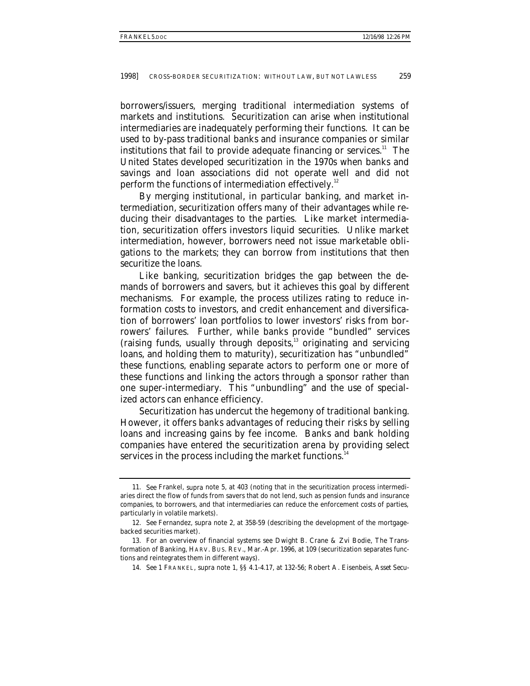borrowers/issuers, merging traditional intermediation systems of markets and institutions. Securitization can arise when institutional intermediaries are inadequately performing their functions. It can be used to by-pass traditional banks and insurance companies or similar institutions that fail to provide adequate financing or services. $11$  The United States developed securitization in the 1970s when banks and savings and loan associations did not operate well and did not perform the functions of intermediation effectively.<sup>12</sup>

By merging institutional, in particular banking, and market intermediation, securitization offers many of their advantages while reducing their disadvantages to the parties. Like market intermediation, securitization offers investors liquid securities. Unlike market intermediation, however, borrowers need not issue marketable obligations to the markets; they can borrow from institutions that then securitize the loans.

Like banking, securitization bridges the gap between the demands of borrowers and savers, but it achieves this goal by different mechanisms. For example, the process utilizes rating to reduce information costs to investors, and credit enhancement and diversification of borrowers' loan portfolios to lower investors' risks from borrowers' failures. Further, while banks provide "bundled" services (raising funds, usually through deposits, $13$  originating and servicing loans, and holding them to maturity), securitization has "unbundled" these functions, enabling separate actors to perform one or more of these functions and linking the actors through a sponsor rather than one super-intermediary. This "unbundling" and the use of specialized actors can enhance efficiency.

Securitization has undercut the hegemony of traditional banking. However, it offers banks advantages of reducing their risks by selling loans and increasing gains by fee income. Banks and bank holding companies have entered the securitization arena by providing select services in the process including the market functions.<sup>14</sup>

<sup>11.</sup> *See* Frankel, *supra* note 5, at 403 (noting that in the securitization process intermediaries direct the flow of funds from savers that do not lend, such as pension funds and insurance companies, to borrowers, and that intermediaries can reduce the enforcement costs of parties, particularly in volatile markets).

<sup>12.</sup> *See* Fernandez, *supra* note 2, at 358-59 (describing the development of the mortgagebacked securities market).

<sup>13.</sup> For an overview of financial systems see Dwight B. Crane & Zvi Bodie, *The Transformation of Banking*, HARV. BUS. REV., Mar.-Apr. 1996, at 109 (securitization separates functions and reintegrates them in different ways).

<sup>14.</sup> *See* 1 FRANKEL, *supra* note 1, §§ 4.1-4.17, at 132-56; Robert A. Eisenbeis, *Asset Secu-*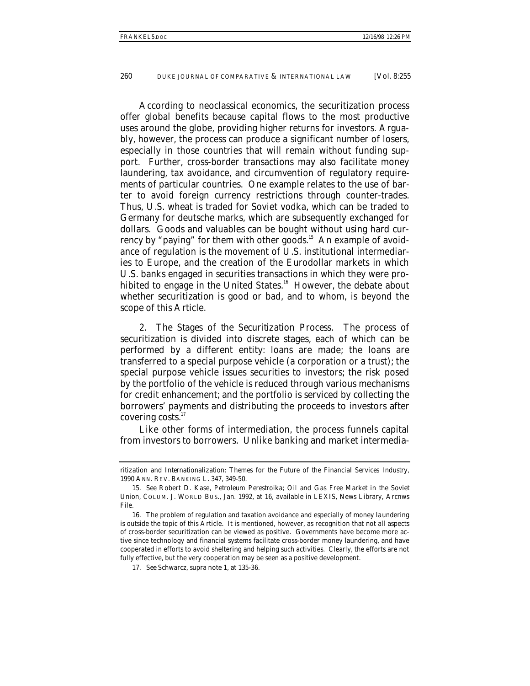According to neoclassical economics, the securitization process offer global benefits because capital flows to the most productive uses around the globe, providing higher returns for investors. Arguably, however, the process can produce a significant number of losers, especially in those countries that will remain without funding support. Further, cross-border transactions may also facilitate money laundering, tax avoidance, and circumvention of regulatory requirements of particular countries. One example relates to the use of barter to avoid foreign currency restrictions through counter-trades. Thus, U.S. wheat is traded for Soviet vodka, which can be traded to Germany for deutsche marks, which are subsequently exchanged for dollars. Goods and valuables can be bought without using hard currency by "paying" for them with other goods.<sup>15</sup> An example of avoidance of regulation is the movement of U.S. institutional intermediaries to Europe, and the creation of the Eurodollar markets in which U.S. banks engaged in securities transactions in which they were prohibited to engage in the United States.<sup>16</sup> However, the debate about whether securitization is good or bad, and to whom, is beyond the scope of this Article.

2. *The Stages of the Securitization Process*. The process of securitization is divided into discrete stages, each of which can be performed by a different entity: loans are made; the loans are transferred to a special purpose vehicle (a corporation or a trust); the special purpose vehicle issues securities to investors; the risk posed by the portfolio of the vehicle is reduced through various mechanisms for credit enhancement; and the portfolio is serviced by collecting the borrowers' payments and distributing the proceeds to investors after covering costs. $17$ 

Like other forms of intermediation, the process funnels capital from investors to borrowers. Unlike banking and market intermedia-

*ritization and Internationalization: Themes for the Future of the Financial Services Industry*, 1990 ANN. REV. BANKING L. 347, 349-50.

<sup>15.</sup> *See* Robert D. Kase, *Petroleum Perestroika; Oil and Gas Free Market in the Soviet Union*, COLUM. J. WORLD BUS., Jan. 1992, at 16, *available in* LEXIS, News Library, Arcnws File.

<sup>16.</sup> The problem of regulation and taxation avoidance and especially of money laundering is outside the topic of this Article. It is mentioned, however, as recognition that not all aspects of cross-border securitization can be viewed as positive. Governments have become more active since technology and financial systems facilitate cross-border money laundering, and have cooperated in efforts to avoid sheltering and helping such activities. Clearly, the efforts are not fully effective, but the very cooperation may be seen as a positive development.

<sup>17.</sup> *See* Schwarcz, *supra* note 1, at 135-36.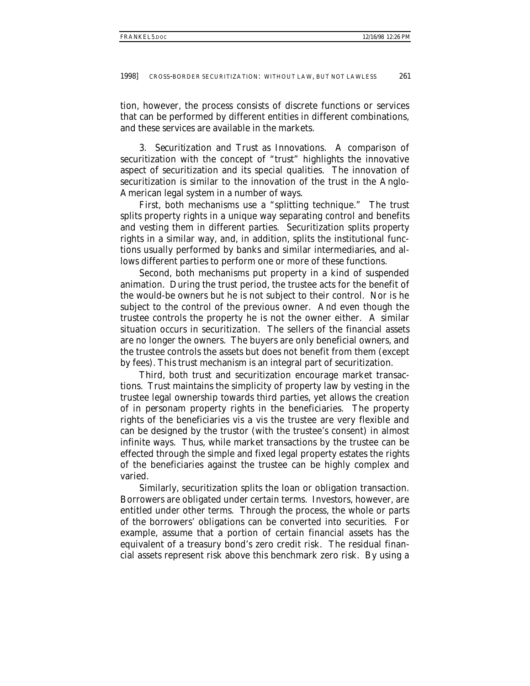tion, however, the process consists of discrete functions or services that can be performed by different entities in different combinations, and these services are available in the markets.

3. *Securitization and Trust as Innovations*. A comparison of securitization with the concept of "trust" highlights the innovative aspect of securitization and its special qualities. The innovation of securitization is similar to the innovation of the trust in the Anglo-American legal system in a number of ways.

First, both mechanisms use a "splitting technique." The trust splits property rights in a unique way separating control and benefits and vesting them in different parties. Securitization splits property rights in a similar way, and, in addition, splits the institutional functions usually performed by banks and similar intermediaries, and allows different parties to perform one or more of these functions.

Second, both mechanisms put property in a kind of suspended animation. During the trust period, the trustee acts for the benefit of the would-be owners but he is not subject to their control. Nor is he subject to the control of the previous owner. And even though the trustee controls the property he is not the owner either. A similar situation occurs in securitization. The sellers of the financial assets are no longer the owners. The buyers are only beneficial owners, and the trustee controls the assets but does not benefit from them (except by fees). This trust mechanism is an integral part of securitization.

Third, both trust and securitization encourage market transactions. Trust maintains the simplicity of property law by vesting in the trustee legal ownership towards third parties, yet allows the creation of *in personam* property rights in the beneficiaries. The property rights of the beneficiaries *vis a vis* the trustee are very flexible and can be designed by the trustor (with the trustee's consent) in almost infinite ways. Thus, while market transactions by the trustee can be effected through the simple and fixed legal property estates the rights of the beneficiaries against the trustee can be highly complex and varied.

Similarly, securitization splits the loan or obligation transaction. Borrowers are obligated under certain terms. Investors, however, are entitled under other terms. Through the process, the whole or parts of the borrowers' obligations can be converted into securities. For example, assume that a portion of certain financial assets has the equivalent of a treasury bond's zero credit risk. The residual financial assets represent risk above this benchmark zero risk. By using a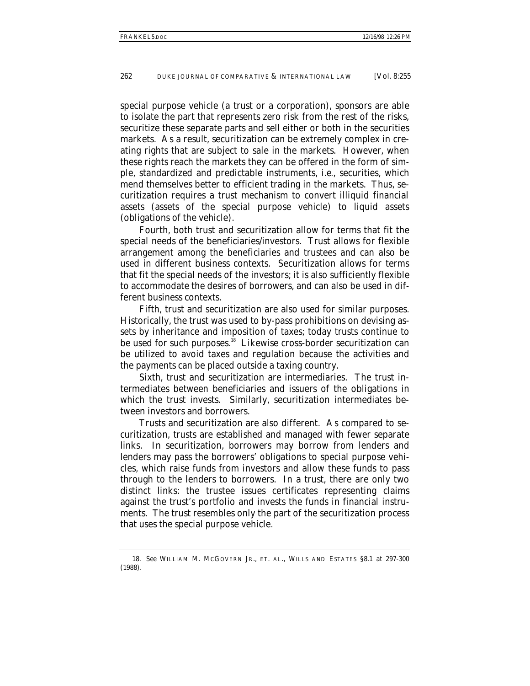special purpose vehicle (a trust or a corporation), sponsors are able to isolate the part that represents zero risk from the rest of the risks, securitize these separate parts and sell either or both in the securities markets. As a result, securitization can be extremely complex in creating rights that are subject to sale in the markets. However, when these rights reach the markets they can be offered in the form of simple, standardized and predictable instruments, *i.e.*, securities, which mend themselves better to efficient trading in the markets. Thus, securitization requires a trust mechanism to convert illiquid financial assets (assets of the special purpose vehicle) to liquid assets (obligations of the vehicle).

Fourth, both trust and securitization allow for terms that fit the special needs of the beneficiaries/investors. Trust allows for flexible arrangement among the beneficiaries and trustees and can also be used in different business contexts. Securitization allows for terms that fit the special needs of the investors; it is also sufficiently flexible to accommodate the desires of borrowers, and can also be used in different business contexts.

Fifth, trust and securitization are also used for similar purposes. Historically, the trust was used to by-pass prohibitions on devising assets by inheritance and imposition of taxes; today trusts continue to be used for such purposes.<sup>18</sup> Likewise cross-border securitization can be utilized to avoid taxes and regulation because the activities and the payments can be placed outside a taxing country.

Sixth, trust and securitization are intermediaries. The trust intermediates between beneficiaries and issuers of the obligations in which the trust invests. Similarly, securitization intermediates between investors and borrowers.

Trusts and securitization are also different. As compared to securitization, trusts are established and managed with fewer separate links. In securitization, borrowers may borrow from lenders and lenders may pass the borrowers' obligations to special purpose vehicles, which raise funds from investors and allow these funds to pass through to the lenders to borrowers. In a trust, there are only two distinct links: the trustee issues certificates representing claims against the trust's portfolio and invests the funds in financial instruments. The trust resembles only the part of the securitization process that uses the special purpose vehicle.

<sup>18.</sup> *See* WILLIAM M. MCGOVERN JR., ET. AL., WILLS AND ESTATES §8.1 at 297-300 (1988).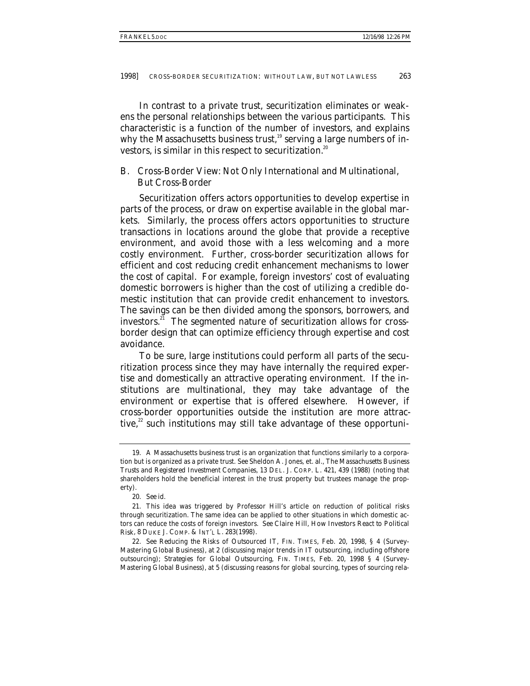In contrast to a private trust, securitization eliminates or weakens the personal relationships between the various participants. This characteristic is a function of the number of investors, and explains why the Massachusetts business trust,<sup>19</sup> serving a large numbers of investors, is similar in this respect to securitization.<sup>20</sup>

## B. Cross-Border View: Not Only International and Multinational, But Cross-Border

Securitization offers actors opportunities to develop expertise in parts of the process, or draw on expertise available in the global markets. Similarly, the process offers actors opportunities to structure transactions in locations around the globe that provide a receptive environment, and avoid those with a less welcoming and a more costly environment. Further, cross-border securitization allows for efficient and cost reducing credit enhancement mechanisms to lower the cost of capital. For example, foreign investors' cost of evaluating domestic borrowers is higher than the cost of utilizing a credible domestic institution that can provide credit enhancement to investors. The savings can be then divided among the sponsors, borrowers, and investors.<sup>21</sup> The segmented nature of securitization allows for crossborder design that can optimize efficiency through expertise and cost avoidance.

To be sure, large institutions could perform all parts of the securitization process since they may have internally the required expertise and domestically an attractive operating environment. If the institutions are multinational, they may take advantage of the environment or expertise that is offered elsewhere. However, if cross-border opportunities outside the institution are more attractive, $2^2$  such institutions may still take advantage of these opportuni-

<sup>19.</sup> A Massachusetts business trust is an organization that functions similarly to a corporation but is organized as a private trust. *See* Sheldon A. Jones, et. al., *The Massachusetts Business Trusts and Registered Investment Companies*, 13 DEL. J. CORP. L. 421, 439 (1988) (noting that shareholders hold the beneficial interest in the trust property but trustees manage the property).

<sup>20.</sup> *See id*.

<sup>21.</sup> This idea was triggered by Professor Hill's article on reduction of political risks through securitization. The same idea can be applied to other situations in which domestic actors can reduce the costs of foreign investors. *See* Claire Hill, *How Investors React to Political Risk*, 8 DUKE J. COMP. & INT'L L. 283(1998).

<sup>22.</sup> *See Reducing the Risks of Outsourced IT*, FIN. TIMES, Feb. 20, 1998, § 4 (Survey-Mastering Global Business), at 2 (discussing major trends in IT outsourcing, including offshore outsourcing); *Strategies for Global Outsourcing*, FIN. TIMES, Feb. 20, 1998 § 4 (Survey-Mastering Global Business), at 5 (discussing reasons for global sourcing, types of sourcing rela-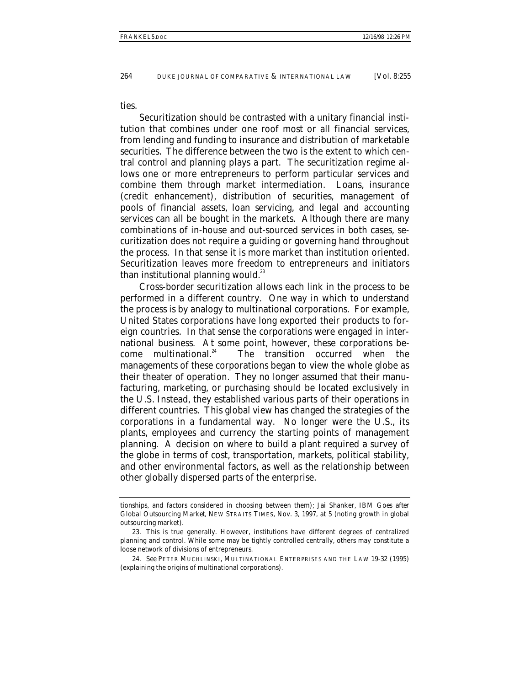ties.

Securitization should be contrasted with a unitary financial institution that combines under one roof most or all financial services, from lending and funding to insurance and distribution of marketable securities. The difference between the two is the extent to which central control and planning plays a part. The securitization regime allows one or more entrepreneurs to perform particular services and combine them through market intermediation. Loans, insurance (credit enhancement), distribution of securities, management of pools of financial assets, loan servicing, and legal and accounting services can all be bought in the markets. Although there are many combinations of in-house and out-sourced services in both cases, securitization does not require a guiding or governing hand throughout the process. In that sense it is more market than institution oriented. Securitization leaves more freedom to entrepreneurs and initiators than institutional planning would. $23$ 

Cross-border securitization allows each link in the process to be performed in a different country. One way in which to understand the process is by analogy to multinational corporations. For example, United States corporations have long exported their products to foreign countries. In that sense the corporations were engaged in international business. At some point, however, these corporations be $come$  multinational.<sup>24</sup> The transition occurred when the managements of these corporations began to view the whole globe as their theater of operation. They no longer assumed that their manufacturing, marketing, or purchasing should be located exclusively in the U.S. Instead, they established various parts of their operations in different countries. This global view has changed the strategies of the corporations in a fundamental way. No longer were the U.S., its plants, employees and currency the starting points of management planning. A decision on where to build a plant required a survey of the globe in terms of cost, transportation, markets, political stability, and other environmental factors, as well as the relationship between other globally dispersed parts of the enterprise.

tionships, and factors considered in choosing between them); Jai Shanker, *IBM Goes after Global Outsourcing Market*, NEW STRAITS TIMES, Nov. 3, 1997, at 5 (noting growth in global outsourcing market).

<sup>23.</sup> This is true generally. However, institutions have different degrees of centralized planning and control. While some may be tightly controlled centrally, others may constitute a loose network of divisions of entrepreneurs.

<sup>24.</sup> *See* PETER MUCHLINSKI, MULTINATIONAL ENTERPRISES AND THE LAW 19-32 (1995) (explaining the origins of multinational corporations).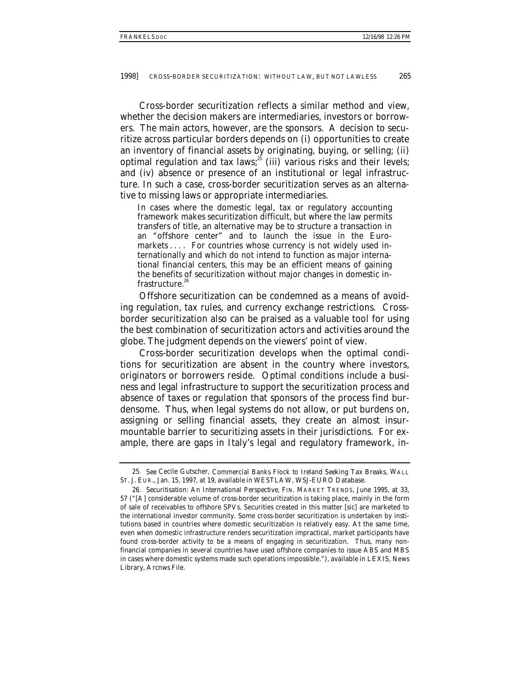Cross-border securitization reflects a similar method and view, whether the decision makers are intermediaries, investors or borrowers. The main actors, however, are the sponsors. A decision to securitize across particular borders depends on (i) opportunities to create an inventory of financial assets by originating, buying, or selling; (ii) optimal regulation and tax laws;<sup>25</sup> (iii) various risks and their levels; and (iv) absence or presence of an institutional or legal infrastructure. In such a case, cross-border securitization serves as an alternative to missing laws or appropriate intermediaries.

In cases where the domestic legal, tax or regulatory accounting framework makes securitization difficult, but where the law permits transfers of title, an alternative may be to structure a transaction in an "offshore center" and to launch the issue in the Euromarkets .... For countries whose currency is not widely used internationally and which do not intend to function as major international financial centers, this may be an efficient means of gaining the benefits of securitization without major changes in domestic infrastructure.<sup>2</sup>

Offshore securitization can be condemned as a means of avoiding regulation, tax rules, and currency exchange restrictions. Crossborder securitization also can be praised as a valuable tool for using the best combination of securitization actors and activities around the globe. The judgment depends on the viewers' point of view.

Cross-border securitization develops when the optimal conditions for securitization are absent in the country where investors, originators or borrowers reside. Optimal conditions include a business and legal infrastructure to support the securitization process and absence of taxes or regulation that sponsors of the process find burdensome. Thus, when legal systems do not allow, or put burdens on, assigning or selling financial assets, they create an almost insurmountable barrier to securitizing assets in their jurisdictions. For example, there are gaps in Italy's legal and regulatory framework, in-

<sup>25.</sup> *See* Cecile Gutscher, *Commercial Banks Flock to Ireland Seeking Tax Breaks,* WALL ST. J. EUR., Jan. 15, 1997, at 19, *available in* WESTLAW, WSJ-EURO Database.

<sup>26.</sup> *Securitisation: An International Perspective*, FIN. MARKET TRENDS, June 1995, at 33, 57 ("[A] considerable volume of cross-border securitization is taking place, mainly in the form of sale of receivables to offshore SPVs. Securities created in this matter [sic] are marketed to the international investor community. Some cross-border securitization is undertaken by institutions based in countries where domestic securitization is relatively easy. At the same time, even when domestic infrastructure renders securitization impractical, market participants have found cross-border activity to be a means of engaging in securitization. Thus, many nonfinancial companies in several countries have used offshore companies to issue ABS and MBS in cases where domestic systems made such operations impossible."), *available in* LEXIS, News Library, Arcnws File.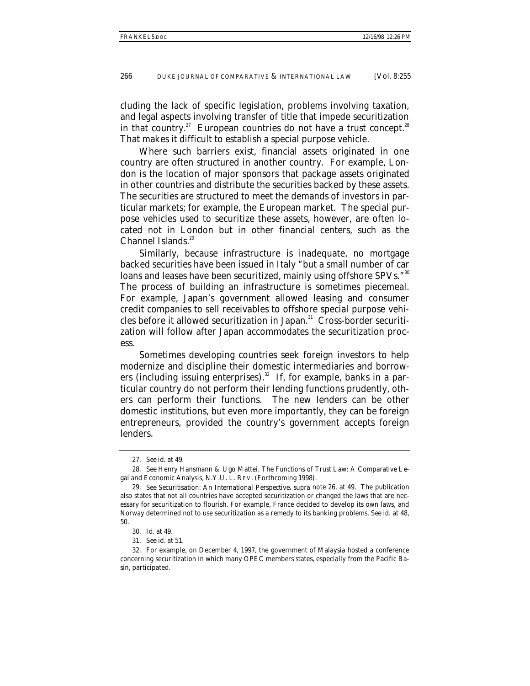cluding the lack of specific legislation, problems involving taxation, and legal aspects involving transfer of title that impede securitization in that country.<sup>27</sup> European countries do not have a trust concept.<sup>28</sup> That makes it difficult to establish a special purpose vehicle.

Where such barriers exist, financial assets originated in one country are often structured in another country. For example, London is the location of major sponsors that package assets originated in other countries and distribute the securities backed by these assets. The securities are structured to meet the demands of investors in particular markets; for example, the European market. The special purpose vehicles used to securitize these assets, however, are often located not in London but in other financial centers, such as the Channel Islands.<sup>29</sup>

Similarly, because infrastructure is inadequate, no mortgage backed securities have been issued in Italy "but a small number of car loans and leases have been securitized, mainly using offshore SPVs."<sup>30</sup> The process of building an infrastructure is sometimes piecemeal. For example, Japan's government allowed leasing and consumer credit companies to sell receivables to offshore special purpose vehicles before it allowed securitization in Japan.<sup>31</sup> Cross-border securitization will follow after Japan accommodates the securitization process.

Sometimes developing countries seek foreign investors to help modernize and discipline their domestic intermediaries and borrowers (including issuing enterprises).<sup>32</sup> If, for example, banks in a particular country do not perform their lending functions prudently, others can perform their functions. The new lenders can be other domestic institutions, but even more importantly, they can be foreign entrepreneurs, provided the country's government accepts foreign lenders.

<sup>27.</sup> *See id*. at 49.

<sup>28.</sup> *See* Henry Hansmann & Ugo Mattei, *The Functions of Trust Law: A Comparative Legal and Economic Analysis*, N.Y.U. L. REV. (Forthcoming 1998).

<sup>29.</sup> *See Securitisation: An International Perspective*, *supra* note 26, at 49. The publication also states that not all countries have accepted securitization or changed the laws that are necessary for securitization to flourish. For example, France decided to develop its own laws, and Norway determined not to use securitization as a remedy to its banking problems. *See id*. at 48, 50.

<sup>30.</sup> *Id.* at 49.

<sup>31.</sup> *See id.* at 51.

<sup>32.</sup> For example, on December 4, 1997, the government of Malaysia hosted a conference concerning securitization in which many OPEC members states, especially from the Pacific Basin, participated.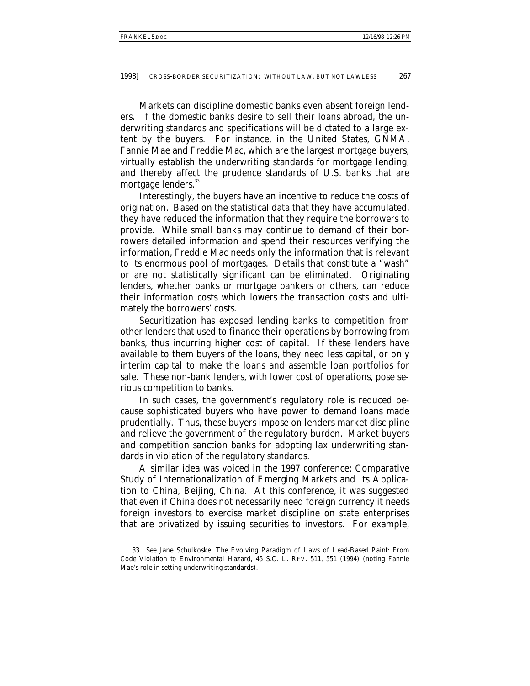Markets can discipline domestic banks even absent foreign lenders. If the domestic banks desire to sell their loans abroad, the underwriting standards and specifications will be dictated to a large extent by the buyers. For instance, in the United States, GNMA, Fannie Mae and Freddie Mac, which are the largest mortgage buyers, virtually establish the underwriting standards for mortgage lending, and thereby affect the prudence standards of U.S. banks that are mortgage lenders.<sup>33</sup>

Interestingly, the buyers have an incentive to reduce the costs of origination. Based on the statistical data that they have accumulated, they have reduced the information that they require the borrowers to provide. While small banks may continue to demand of their borrowers detailed information and spend their resources verifying the information, Freddie Mac needs only the information that is relevant to its enormous pool of mortgages. Details that constitute a "wash" or are not statistically significant can be eliminated. Originating lenders, whether banks or mortgage bankers or others, can reduce their information costs which lowers the transaction costs and ultimately the borrowers' costs.

Securitization has exposed lending banks to competition from other lenders that used to finance their operations by borrowing from banks, thus incurring higher cost of capital. If these lenders have available to them buyers of the loans, they need less capital, or only interim capital to make the loans and assemble loan portfolios for sale. These non-bank lenders, with lower cost of operations, pose serious competition to banks.

In such cases, the government's regulatory role is reduced because sophisticated buyers who have power to demand loans made prudentially. Thus, these buyers impose on lenders market discipline and relieve the government of the regulatory burden. Market buyers and competition sanction banks for adopting lax underwriting standards in violation of the regulatory standards.

A similar idea was voiced in the 1997 conference: Comparative Study of Internationalization of Emerging Markets and Its Application to China, Beijing, China. At this conference, it was suggested that even if China does not necessarily need foreign currency it needs foreign investors to exercise market discipline on state enterprises that are privatized by issuing securities to investors. For example,

<sup>33.</sup> *See* Jane Schulkoske, *The Evolving Paradigm of Laws of Lead-Based Paint: From Code Violation to Environmental Hazard*, 45 S.C. L. REV. 511, 551 (1994) (noting Fannie Mae's role in setting underwriting standards).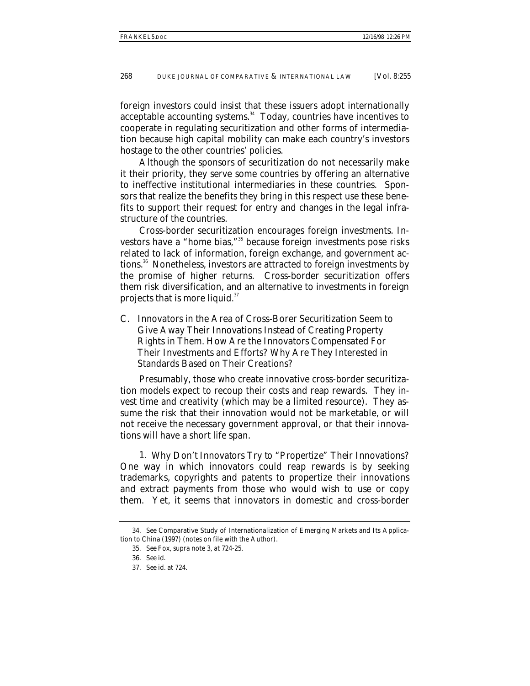foreign investors could insist that these issuers adopt internationally acceptable accounting systems.<sup>34</sup> Today, countries have incentives to cooperate in regulating securitization and other forms of intermediation because high capital mobility can make each country's investors hostage to the other countries' policies.

Although the sponsors of securitization do not necessarily make it their priority, they serve some countries by offering an alternative to ineffective institutional intermediaries in these countries. Sponsors that realize the benefits they bring in this respect use these benefits to support their request for entry and changes in the legal infrastructure of the countries.

Cross-border securitization encourages foreign investments. Investors have a "home bias,"<sup>35</sup> because foreign investments pose risks related to lack of information, foreign exchange, and government actions.<sup>36</sup> Nonetheless, investors are attracted to foreign investments by the promise of higher returns. Cross-border securitization offers them risk diversification, and an alternative to investments in foreign projects that is more liquid.<sup>37</sup>

C. Innovators in the Area of Cross-Borer Securitization Seem to Give Away Their Innovations Instead of Creating Property Rights in Them. How Are the Innovators Compensated For Their Investments and Efforts? Why Are They Interested in Standards Based on Their Creations?

Presumably, those who create innovative cross-border securitization models expect to recoup their costs and reap rewards. They invest time and creativity (which may be a limited resource). They assume the risk that their innovation would not be marketable, or will not receive the necessary government approval, or that their innovations will have a short life span.

1. *Why Don't Innovators Try to "Propertize" Their Innovations?* One way in which innovators could reap rewards is by seeking trademarks, copyrights and patents to propertize their innovations and extract payments from those who would wish to use or copy them. Yet, it seems that innovators in domestic and cross-border

<sup>34.</sup> *See* Comparative Study of Internationalization of Emerging Markets and Its Application to China (1997) (notes on file with the Author)*.*

<sup>35.</sup> *See* Fox, *supra* note 3, at 724-25.

<sup>36.</sup> *See id*.

<sup>37.</sup> *See id.* at 724.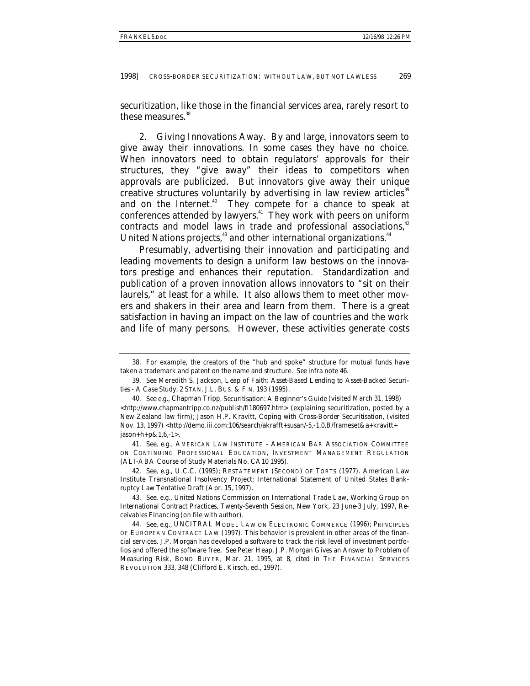securitization, like those in the financial services area, rarely resort to these measures.<sup>38</sup>

2. *Giving Innovations Away*. By and large, innovators seem to give away their innovations. In some cases they have no choice. When innovators need to obtain regulators' approvals for their structures, they "give away" their ideas to competitors when approvals are publicized. But innovators give away their unique creative structures voluntarily by advertising in law review articles<sup>39</sup> and on the Internet.<sup>40</sup> They compete for a chance to speak at conferences attended by lawyers. $41$  They work with peers on uniform contracts and model laws in trade and professional associations, $42$ United Nations projects,<sup>43</sup> and other international organizations.<sup>44</sup>

Presumably, advertising their innovation and participating and leading movements to design a uniform law bestows on the innovators prestige and enhances their reputation. Standardization and publication of a proven innovation allows innovators to "sit on their laurels," at least for a while. It also allows them to meet other movers and shakers in their area and learn from them. There is a great satisfaction in having an impact on the law of countries and the work and life of many persons. However, these activities generate costs

41. *See, e.g.,* AMERICAN LAW INSTITUTE - AMERICAN BAR ASSOCIATION COMMITTEE ON CONTINUING PROFESSIONAL EDUCATION, INVESTMENT MANAGEMENT REGULATION (ALI-ABA Course of Study Materials No. CA10 1995).

42. *See, e.g.,* U.C.C. (1995); RESTATEMENT (SECOND) OF TORTS (1977). American Law Institute Transnational Insolvency Project; International Statement of United States Bankruptcy Law Tentative Draft (Apr. 15, 1997).

43. *See, e.g., United Nations Commission on International Trade Law, Working Group on International Contract Practices, Twenty-Seventh Session, New York, 23 June-3 July, 1997, Receivables Financing* (on file with author).

44. *See, e.g.,* UNCITRAL MODEL LAW ON ELECTRONIC COMMERCE (1996); PRINCIPLES OF EUROPEAN CONTRACT LAW (1997). This behavior is prevalent in other areas of the financial services. J.P. Morgan has developed a software to track the risk level of investment portfolios and offered the software free. *See* Peter Heap, *J.P. Morgan Gives an Answer to Problem of Measuring Risk*, BOND BUYER, Mar. 21, 1995, at 8, *cited in* THE FINANCIAL SERVICES REVOLUTION 333, 348 (Clifford E. Kirsch, ed., 1997).

<sup>38.</sup> For example, the creators of the "hub and spoke" structure for mutual funds have taken a trademark and patent on the name and structure. *See infra* note 46.

<sup>39.</sup> *See* Meredith S. Jackson, *Leap of Faith: Asset-Based Lending to Asset-Backed Securities - A Case Study,* 2 STAN. J.L. BUS. & FIN. 193 (1995).

<sup>40.</sup> *See e.g.,* Chapman Tripp, *Securitisation: A Beginner's Guide* (visited March 31, 1998) <http://www.chapmantripp.co.nz/publish/fl180697.htm> (explaining securitization, posted by a New Zealand law firm); Jason H.P. Kravitt, *Coping with Cross-Border Securitisation,* (visited Nov. 13, 1997) <http://demo.iii.com:106/search/akrafft+susan/-5,-1,0,B/frameset&a+kravitt+  $jason + h + p & 1, 6, -1 >$ .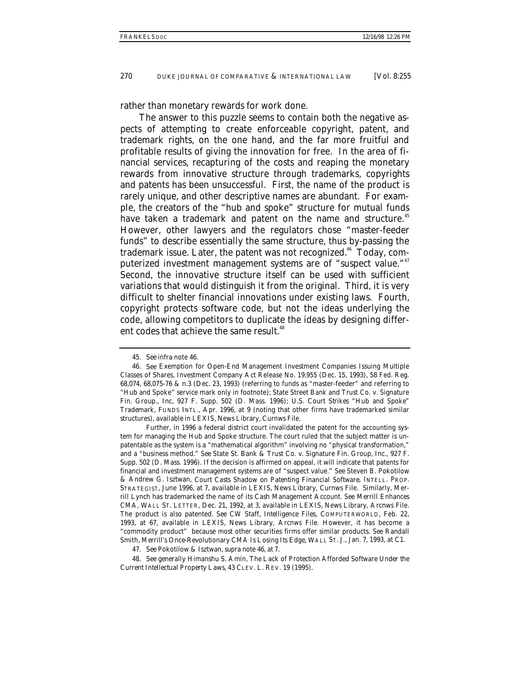rather than monetary rewards for work done.

The answer to this puzzle seems to contain both the negative aspects of attempting to create enforceable copyright, patent, and trademark rights, on the one hand, and the far more fruitful and profitable results of giving the innovation for free. In the area of financial services, recapturing of the costs and reaping the monetary rewards from innovative structure through trademarks, copyrights and patents has been unsuccessful. First, the name of the product is rarely unique, and other descriptive names are abundant. For example, the creators of the "hub and spoke" structure for mutual funds have taken a trademark and patent on the name and structure.<sup>45</sup> However, other lawyers and the regulators chose "master-feeder funds" to describe essentially the same structure, thus by-passing the trademark issue. Later, the patent was not recognized.<sup>46</sup> Today, computerized investment management systems are of "suspect value."<sup>47</sup> Second, the innovative structure itself can be used with sufficient variations that would distinguish it from the original. Third, it is very difficult to shelter financial innovations under existing laws. Fourth, copyright protects software code, but not the ideas underlying the code, allowing competitors to duplicate the ideas by designing different codes that achieve the same result.<sup>48</sup>

<sup>45.</sup> *See infra* note 46.

<sup>46.</sup> *See* Exemption for Open-End Management Investment Companies Issuing Multiple Classes of Shares, Investment Company Act Release No. 19,955 (Dec. 15, 1993), 58 Fed. Reg. 68,074, 68,075-76 & n.3 (Dec. 23, 1993) (referring to funds as "master-feeder" and referring to "Hub and Spoke" service mark only in footnote); State Street Bank and Trust Co. v. Signature Fin. Group., Inc, 927 F. Supp. 502 (D. Mass. 1996); *U.S. Court Strikes "Hub and Spoke" Trademark*, FUNDS INTL., Apr. 1996, at 9 (noting that other firms have trademarked similar structures), *available in* LEXIS, News Library, Curnws File.

Further, in 1996 a federal district court invalidated the patent for the accounting system for managing the Hub and Spoke structure. The court ruled that the subject matter is unpatentable as the system is a "mathematical algorithm" involving no "physical transformation," and a "business method." *See* State St. Bank & Trust Co. v. Signature Fin. Group, Inc., 927 F. Supp. 502 (D. Mass. 1996). If the decision is affirmed on appeal, it will indicate that patents for financial and investment management systems are of "suspect value." *See* Steven B. Pokotilow & Andrew G. Isztwan, *Court Casts Shadow on Patenting Financial Software*, INTELL. PROP. STRATEGIST, June 1996, at 7, *available in* LEXIS, News Library, Curnws File. Similarly, Merrill Lynch has trademarked the name of its Cash Management Account. *See Merrill Enhances CMA*, WALL ST. LETTER, Dec. 21, 1992, at 3, *available in* LEXIS, News Library, Arcnws File. The product is also patented. *See* CW Staff, *Intelligence Files*, COMPUTERWORLD, Feb. 22, 1993, at 67, *available in* LEXIS, News Library, Arcnws File. However, it has become a "commodity product" because most other securities firms offer similar products. *See* Randall Smith, *Merrill's Once-Revolutionary CMA Is Losing Its Edge*, WALL ST. J., Jan. 7, 1993, at C1.

<sup>47.</sup> *See* Pokotilow & Isztwan, *supra* note 46, at 7.

<sup>48.</sup> *See generally* Himanshu S. Amin, *The Lack of Protection Afforded Software Under the Current Intellectual Property Laws*, 43 CLEV. L. REV. 19 (1995).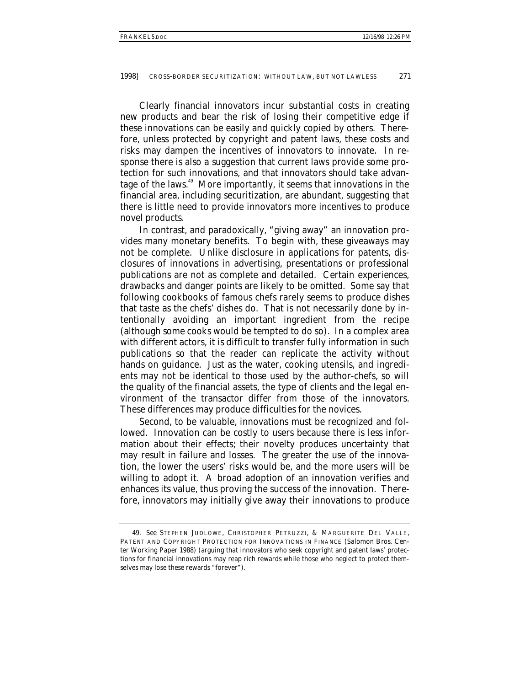Clearly financial innovators incur substantial costs in creating new products and bear the risk of losing their competitive edge if these innovations can be easily and quickly copied by others. Therefore, unless protected by copyright and patent laws, these costs and risks may dampen the incentives of innovators to innovate. In response there is also a suggestion that current laws provide some protection for such innovations, and that innovators should take advantage of the laws.<sup>49</sup> More importantly, it seems that innovations in the financial area, including securitization, are abundant, suggesting that there is little need to provide innovators more incentives to produce novel products.

In contrast, and paradoxically, "giving away" an innovation provides many monetary benefits. To begin with, these giveaways may not be complete. Unlike disclosure in applications for patents, disclosures of innovations in advertising, presentations or professional publications are not as complete and detailed. Certain experiences, drawbacks and danger points are likely to be omitted. Some say that following cookbooks of famous chefs rarely seems to produce dishes that taste as the chefs' dishes do. That is not necessarily done by intentionally avoiding an important ingredient from the recipe (although some cooks would be tempted to do so). In a complex area with different actors, it is difficult to transfer fully information in such publications so that the reader can replicate the activity without hands on guidance. Just as the water, cooking utensils, and ingredients may not be identical to those used by the author-chefs, so will the quality of the financial assets, the type of clients and the legal environment of the transactor differ from those of the innovators. These differences may produce difficulties for the novices.

Second, to be valuable, innovations must be recognized and followed. Innovation can be costly to users because there is less information about their effects; their novelty produces uncertainty that may result in failure and losses. The greater the use of the innovation, the lower the users' risks would be, and the more users will be willing to adopt it. A broad adoption of an innovation verifies and enhances its value, thus proving the success of the innovation. Therefore, innovators may initially give away their innovations to produce

<sup>49.</sup> *See* STEPHEN JUDLOWE, CHRISTOPHER PETRUZZI, & MARGUERITE DEL VALLE, PATENT AND COPYRIGHT PROTECTION FOR INNOVATIONS IN FINANCE (Salomon Bros. Center Working Paper 1988) (arguing that innovators who seek copyright and patent laws' protections for financial innovations may reap rich rewards while those who neglect to protect themselves may lose these rewards "forever").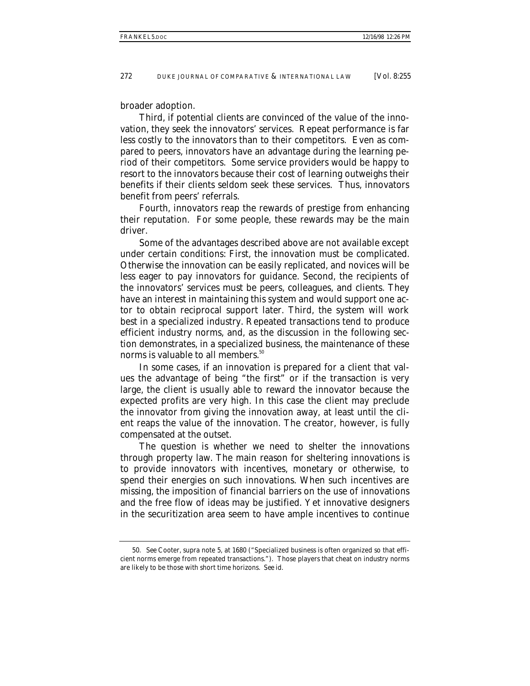broader adoption.

Third, if potential clients are convinced of the value of the innovation, they seek the innovators' services. Repeat performance is far less costly to the innovators than to their competitors. Even as compared to peers, innovators have an advantage during the learning period of their competitors. Some service providers would be happy to resort to the innovators because their cost of learning outweighs their benefits if their clients seldom seek these services. Thus, innovators benefit from peers' referrals.

Fourth, innovators reap the rewards of prestige from enhancing their reputation. For some people, these rewards may be the main driver.

Some of the advantages described above are not available except under certain conditions: First, the innovation must be complicated. Otherwise the innovation can be easily replicated, and novices will be less eager to pay innovators for guidance. Second, the recipients of the innovators' services must be peers, colleagues, and clients. They have an interest in maintaining this system and would support one actor to obtain reciprocal support later. Third, the system will work best in a specialized industry. Repeated transactions tend to produce efficient industry norms, and, as the discussion in the following section demonstrates, in a specialized business, the maintenance of these norms is valuable to all members.<sup>50</sup>

In some cases, if an innovation is prepared for a client that values the advantage of being "the first" or if the transaction is very large, the client is usually able to reward the innovator because the expected profits are very high. In this case the client may preclude the innovator from giving the innovation away, at least until the client reaps the value of the innovation. The creator, however, is fully compensated at the outset.

The question is whether we need to shelter the innovations through property law. The main reason for sheltering innovations is to provide innovators with incentives, monetary or otherwise, to spend their energies on such innovations. When such incentives are missing, the imposition of financial barriers on the use of innovations and the free flow of ideas may be justified. Yet innovative designers in the securitization area seem to have ample incentives to continue

<sup>50.</sup> *See* Cooter, *supra* note 5, at 1680 ("Specialized business is often organized so that efficient norms emerge from repeated transactions."). Those players that cheat on industry norms are likely to be those with short time horizons. *See id.*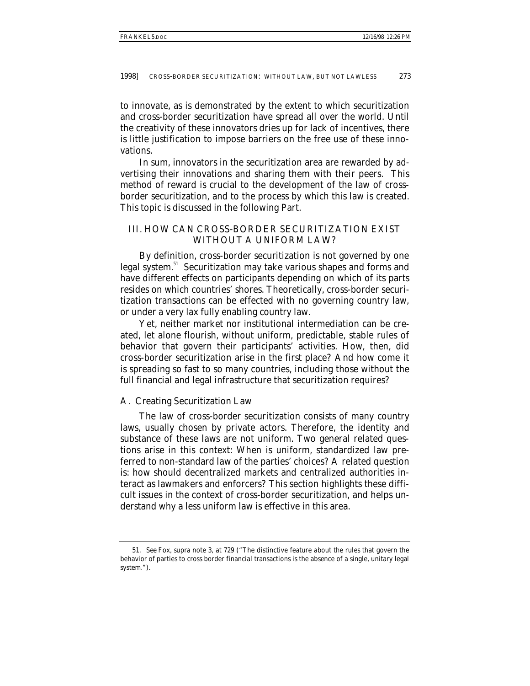to innovate, as is demonstrated by the extent to which securitization and cross-border securitization have spread all over the world. Until the creativity of these innovators dries up for lack of incentives, there is little justification to impose barriers on the free use of these innovations.

In sum, innovators in the securitization area are rewarded by advertising their innovations and sharing them with their peers. This method of reward is crucial to the development of the law of crossborder securitization, and to the process by which this law is created. This topic is discussed in the following Part.

## III. HOW CAN CROSS-BORDER SECURITIZATION EXIST WITHOUT A UNIFORM LAW?

By definition, cross-border securitization is not governed by one legal system.<sup>51</sup> Securitization may take various shapes and forms and have different effects on participants depending on which of its parts resides on which countries' shores. Theoretically, cross-border securitization transactions can be effected with no governing country law, or under a very lax fully enabling country law.

Yet, neither market nor institutional intermediation can be created, let alone flourish, without uniform, predictable, stable rules of behavior that govern their participants' activities. How, then, did cross-border securitization arise in the first place? And how come it is spreading so fast to so many countries, including those without the full financial and legal infrastructure that securitization requires?

#### A. Creating Securitization Law

The law of cross-border securitization consists of many country laws, usually chosen by private actors. Therefore, the identity and substance of these laws are not uniform. Two general related questions arise in this context: When is uniform, standardized law preferred to non-standard law of the parties' choices? A related question is: how should decentralized markets and centralized authorities interact as lawmakers and enforcers? This section highlights these difficult issues in the context of cross-border securitization, and helps understand why a less uniform law is effective in this area.

<sup>51.</sup> *See* Fox, *supra* note 3, at 729 ("The distinctive feature about the rules that govern the behavior of parties to cross border financial transactions is the absence of a single, unitary legal system.").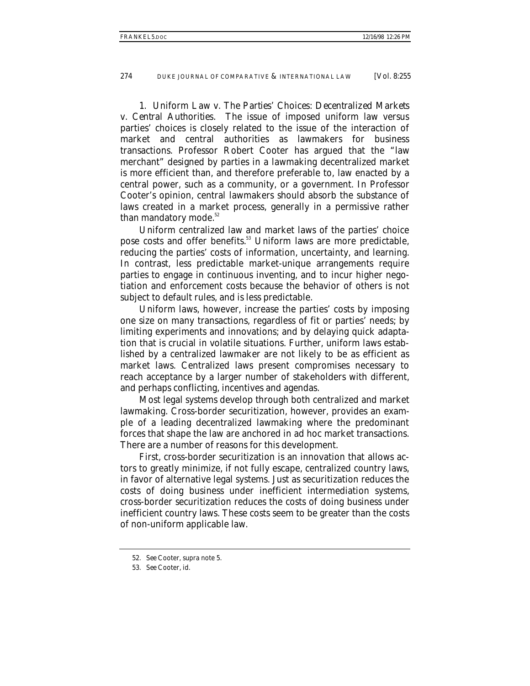1. *Uniform Law v. The Parties' Choices: Decentralized Markets v. Central Authorities*. The issue of imposed uniform law versus parties' choices is closely related to the issue of the interaction of market and central authorities as lawmakers for business transactions. Professor Robert Cooter has argued that the "law merchant" designed by parties in a lawmaking decentralized market is more efficient than, and therefore preferable to, law enacted by a central power, such as a community, or a government. In Professor Cooter's opinion, central lawmakers should absorb the substance of laws created in a market process, generally in a permissive rather than mandatory mode.<sup>52</sup>

Uniform centralized law and market laws of the parties' choice pose costs and offer benefits.<sup>53</sup> Uniform laws are more predictable, reducing the parties' costs of information, uncertainty, and learning. In contrast, less predictable market-unique arrangements require parties to engage in continuous inventing, and to incur higher negotiation and enforcement costs because the behavior of others is not subject to default rules, and is less predictable.

Uniform laws, however, increase the parties' costs by imposing one size on many transactions, regardless of fit or parties' needs; by limiting experiments and innovations; and by delaying quick adaptation that is crucial in volatile situations. Further, uniform laws established by a centralized lawmaker are not likely to be as efficient as market laws. Centralized laws present compromises necessary to reach acceptance by a larger number of stakeholders with different, and perhaps conflicting, incentives and agendas.

Most legal systems develop through both centralized and market lawmaking. Cross-border securitization, however, provides an example of a leading decentralized lawmaking where the predominant forces that shape the law are anchored in *ad hoc* market transactions. There are a number of reasons for this development.

First, cross-border securitization is an innovation that allows actors to greatly minimize, if not fully escape, centralized country laws, in favor of alternative legal systems. Just as securitization reduces the costs of doing business under inefficient intermediation systems, cross-border securitization reduces the costs of doing business under inefficient country laws. These costs seem to be greater than the costs of non-uniform applicable law.

<sup>52.</sup> *See* Cooter, *supra* note 5.

<sup>53.</sup> *See* Cooter, *id*.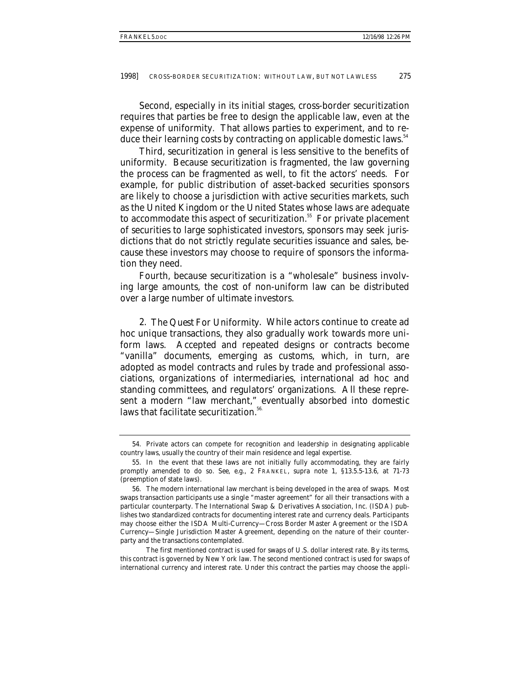Second, especially in its initial stages, cross-border securitization requires that parties be free to design the applicable law, even at the expense of uniformity. That allows parties to experiment, and to reduce their learning costs by contracting on applicable domestic laws.<sup>54</sup>

Third, securitization in general is less sensitive to the benefits of uniformity. Because securitization is fragmented, the law governing the process can be fragmented as well, to fit the actors' needs. For example, for public distribution of asset-backed securities sponsors are likely to choose a jurisdiction with active securities markets, such as the United Kingdom or the United States whose laws are adequate to accommodate this aspect of securitization.<sup>55</sup> For private placement of securities to large sophisticated investors, sponsors may seek jurisdictions that do not strictly regulate securities issuance and sales, because these investors may choose to require of sponsors the information they need.

Fourth, because securitization is a "wholesale" business involving large amounts, the cost of non-uniform law can be distributed over a large number of ultimate investors.

2. *The Quest For Uniformity*. While actors continue to create ad hoc unique transactions, they also gradually work towards more uniform laws. Accepted and repeated designs or contracts become "vanilla" documents, emerging as customs, which, in turn, are adopted as model contracts and rules by trade and professional associations, organizations of intermediaries, international ad hoc and standing committees, and regulators' organizations. All these represent a modern "law merchant," eventually absorbed into domestic laws that facilitate securitization.<sup>56.</sup>

<sup>54.</sup> Private actors can compete for recognition and leadership in designating applicable country laws, usually the country of their main residence and legal expertise.

<sup>55.</sup> In the event that these laws are not initially fully accommodating, they are fairly promptly amended to do so. *See, e.g*., 2 FRANKEL, *supra* note 1, §13.5.5-13.6, at 71-73 (preemption of state laws).

<sup>56.</sup> The modern international law merchant is being developed in the area of swaps. Most swaps transaction participants use a single "master agreement" for all their transactions with a particular counterparty. The International Swap & Derivatives Association, Inc. (ISDA) publishes two standardized contracts for documenting interest rate and currency deals. Participants may choose either the ISDA Multi-Currency—Cross Border Master Agreement or the ISDA Currency—Single Jurisdiction Master Agreement, depending on the nature of their counterparty and the transactions contemplated.

The first mentioned contract is used for swaps of U.S. dollar interest rate. By its terms, this contract is governed by New York law. The second mentioned contract is used for swaps of international currency and interest rate. Under this contract the parties may choose the appli-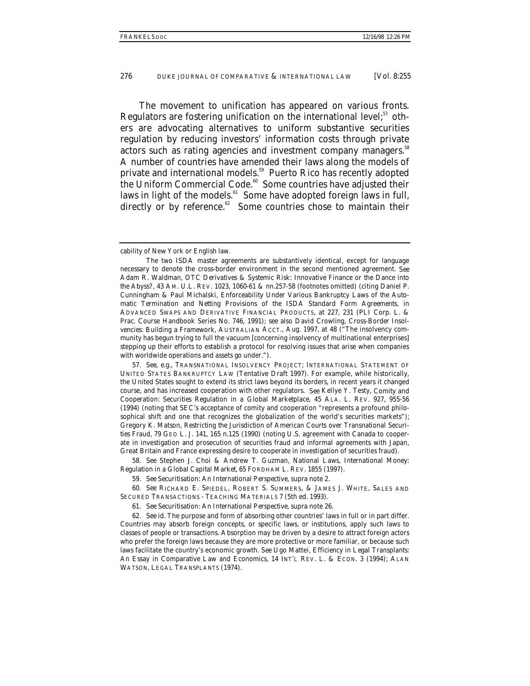The movement to unification has appeared on various fronts. Regulators are fostering unification on the international level;<sup>57.</sup> others are advocating alternatives to uniform substantive securities regulation by reducing investors' information costs through private actors such as rating agencies and investment company managers.<sup>38</sup> A number of countries have amended their laws along the models of private and international models.<sup>59</sup> Puerto Rico has recently adopted the Uniform Commercial Code.<sup>60</sup> Some countries have adjusted their laws in light of the models. $^{\rm 61}$  Some have adopted foreign laws in full, directly or by reference.<sup>62</sup> Some countries chose to maintain their

cability of New York or English law.

The two ISDA master agreements are substantively identical, except for language necessary to denote the cross-border environment in the second mentioned agreement. *See* Adam R. Waldman, *OTC Derivatives & Systemic Risk: Innovative Finance or the Dance into the Abyss?,* 43 AM. U.L. REV. 1023, 1060-61 & nn.257-58 (footnotes omitted) (citing Daniel P. Cunningham & Paul Michalski, *Enforceability Under Various Bankruptcy Laws of the Automatic Termination and Netting Provisions of the ISDA Standard Form Agreements, in* ADVANCED SWAPS AND DERIVATIVE FINANCIAL PRODUCTS, at 227, 231 (PLI Corp. L. & Prac. Course Handbook Series No. 746, 1991); *see also* David Crowling, *Cross-Border Insolvencies: Building a Framework,* AUSTRALIAN ACCT., Aug. 1997, at 48 ("The insolvency community has begun trying to full the vacuum [concerning insolvency of multinational enterprises] stepping up their efforts to establish a protocol for resolving issues that arise when companies with worldwide operations and assets go under.").

<sup>57.</sup> *See, e.g.,* TRANSNATIONAL INSOLVENCY PROJECT; INTERNATIONAL STATEMENT OF UNITED STATES BANKRUPTCY LAW (Tentative Draft 1997). For example, while historically, the United States sought to extend its strict laws beyond its borders, in recent years it changed course, and has increased cooperation with other regulators. *See* Kellye Y. Testy, *Comity and Cooperation: Securities Regulation in a Global Marketplace*, 45 ALA. L. REV. 927, 955-56 (1994) (noting that SEC's acceptance of comity and cooperation "represents a profound philosophical shift and one that recognizes the globalization of the world's securities markets"); Gregory K. Matson, *Restricting the Jurisdiction of American Courts over Transnational Securities Fraud*, 79 GEO L. J. 141, 165 n.125 (1990) (noting U.S. agreement with Canada to cooperate in investigation and prosecution of securities fraud and informal agreements with Japan, Great Britain and France expressing desire to cooperate in investigation of securities fraud).

<sup>58.</sup> *See* Stephen J. Choi & Andrew T. Guzman, *National Laws, International Money: Regulation in a Global Capital Market,* 65 FORDHAM L. REV. 1855 (1997).

<sup>59.</sup> *See Securitisation: An International Perspective,* supra note 2.

<sup>60.</sup> *See* RICHARD E. SPIEDEL, ROBERT S. SUMMERS, & JAMES J. WHITE, SALES AND SECURED TRANSACTIONS - TEACHING MATERIALS 7 (5th ed. 1993).

<sup>61.</sup> *See Securitisation: An International Perspective*, *supra* note 26.

<sup>62.</sup> *See id.* The purpose and form of absorbing other countries' laws in full or in part differ. Countries may absorb foreign concepts, or specific laws, or institutions, apply such laws to classes of people or transactions. Absorption may be driven by a desire to attract foreign actors who prefer the foreign laws because they are more protective or more familiar, or because such laws facilitate the country's economic growth. *See* Ugo Mattei, *Efficiency in Legal Transplants: An Essay in Comparative Law and Economics,* 14 INT'L REV. L. & ECON. 3 (1994); ALAN WATSON, LEGAL TRANSPLANTS (1974).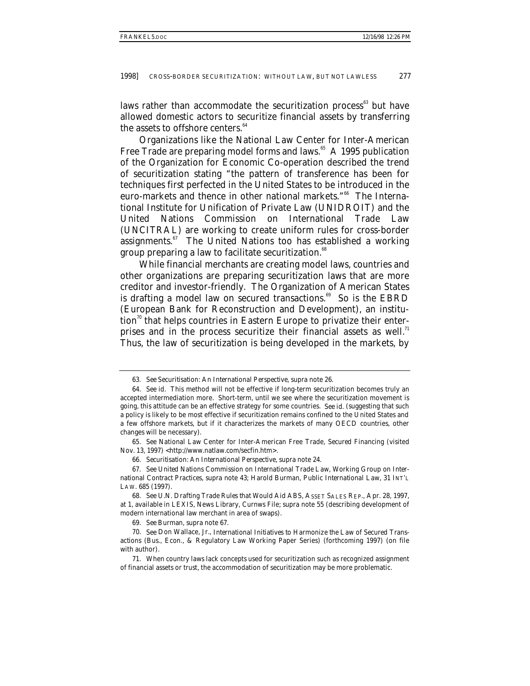laws rather than accommodate the securitization process $^{63}$  but have allowed domestic actors to securitize financial assets by transferring the assets to offshore centers.<sup>64</sup>

Organizations like the National Law Center for Inter-American Free Trade are preparing model forms and laws. $65$  A 1995 publication of the Organization for Economic Co-operation described the trend of securitization stating "the pattern of transference has been for techniques first perfected in the United States to be introduced in the euro-markets and thence in other national markets."<sup>66</sup> The International Institute for Unification of Private Law (UNIDROIT) and the United Nations Commission on International Trade Law (UNCITRAL) are working to create uniform rules for cross-border assignments.<sup>67</sup> The United Nations too has established a working group preparing a law to facilitate securitization.<sup>68</sup>

While financial merchants are creating model laws, countries and other organizations are preparing securitization laws that are more creditor and investor-friendly. The Organization of American States is drafting a model law on secured transactions.<sup>69</sup> So is the EBRD (European Bank for Reconstruction and Development), an institu- $\chi$  that helps countries in Eastern Europe to privatize their enterprises and in the process securitize their financial assets as well.<sup>71</sup> Thus, the law of securitization is being developed in the markets, by

<sup>63.</sup> *See Securitisation: An International Perspective*, *supra* note 26.

<sup>64.</sup> *See id*. This method will not be effective if long-term securitization becomes truly an accepted intermediation more. Short-term, until we see where the securitization movement is going, this attitude can be an effective strategy for some countries. *See id.* (suggesting that such a policy is likely to be most effective if securitization remains confined to the United States and a few offshore markets, but if it characterizes the markets of many OECD countries, other changes will be necessary).

<sup>65.</sup> *See* National Law Center for Inter-American Free Trade, *Secured Financing* (visited Nov. 13, 1997) <http://www.natlaw.com/secfin.htm>.

<sup>66.</sup> *Securitisation: An International Perspective*, *supra* note 24.

<sup>67.</sup> *See United Nations Commission on International Trade Law, Working Group on International Contract Practices*, *supra* note 43; Harold Burman, *Public International Law*, 31 INT'L LAW. 685 (1997).

<sup>68.</sup> *See U.N. Drafting Trade Rules that Would Aid ABS*, ASSET SALES REP., Apr. 28, 1997, at 1, *available in* LEXIS, News Library, Curnws File; *supra* note 55 (describing development of modern international law merchant in area of swaps).

<sup>69.</sup> *See* Burman, *supra* note 67.

<sup>70.</sup> *See* Don Wallace, Jr., *International Initiatives to Harmonize the Law of Secured Transactions* (Bus., Econ., & Regulatory Law Working Paper Series) (forthcoming 1997) (on file with author).

<sup>71.</sup> When country laws lack concepts used for securitization such as recognized assignment of financial assets or trust, the accommodation of securitization may be more problematic.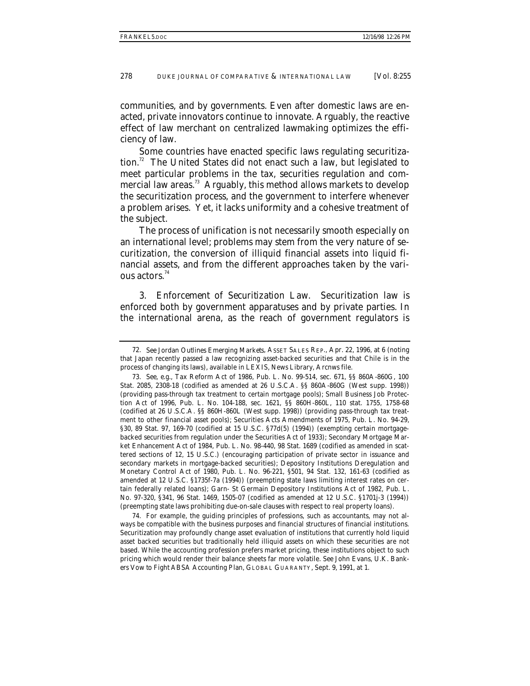communities, and by governments. Even after domestic laws are enacted, private innovators continue to innovate. Arguably, the reactive effect of law merchant on centralized lawmaking optimizes the efficiency of law.

Some countries have enacted specific laws regulating securitization.<sup>72</sup> The United States did not enact such a law, but legislated to meet particular problems in the tax, securities regulation and commercial law areas.<sup>73</sup> Arguably, this method allows markets to develop the securitization process, and the government to interfere whenever a problem arises. Yet, it lacks uniformity and a cohesive treatment of the subject.

The process of unification is not necessarily smooth especially on an international level; problems may stem from the very nature of securitization, the conversion of illiquid financial assets into liquid financial assets, and from the different approaches taken by the various actors.<sup>74</sup>

3. *Enforcement of Securitization Law*. Securitization law is enforced both by government apparatuses and by private parties. In the international arena, as the reach of government regulators is

74. For example, the guiding principles of professions, such as accountants, may not always be compatible with the business purposes and financial structures of financial institutions. Securitization may profoundly change asset evaluation of institutions that currently hold liquid asset backed securities but traditionally held illiquid assets on which these securities are not based. While the accounting profession prefers market pricing, these institutions object to such pricing which would render their balance sheets far more volatile. *See* John Evans, *U.K. Bankers Vow to Fight ABSA Accounting Plan*, GLOBAL GUARANTY, Sept. 9, 1991, at 1.

<sup>72.</sup> *See Jordan Outlines Emerging Markets*, ASSET SALES REP., Apr. 22, 1996, at 6 (noting that Japan recently passed a law recognizing asset-backed securities and that Chile is in the process of changing its laws), available in LEXIS, News Library, Arcnws file.

<sup>73.</sup> *See, e.g.*, Tax Reform Act of 1986, Pub. L. No. 99-514, sec. 671, §§ 860A-860G, 100 Stat. 2085, 2308-18 (codified as amended at 26 U.S.C.A. §§ 860A-860G (West supp. 1998)) (providing pass-through tax treatment to certain mortgage pools); Small Business Job Protection Act of 1996, Pub. L. No. 104-188, sec. 1621, §§ 860H-860L, 110 stat. 1755, 1758-68 (codified at 26 U.S.C.A. §§ 860H-860L (West supp. 1998)) (providing pass-through tax treatment to other financial asset pools); Securities Acts Amendments of 1975, Pub. L. No. 94-29, §30, 89 Stat. 97, 169-70 (codified at 15 U.S.C. §77d(5) (1994)) (exempting certain mortgagebacked securities from regulation under the Securities Act of 1933); Secondary Mortgage Market Enhancement Act of 1984, Pub. L. No. 98-440, 98 Stat. 1689 (codified as amended in scattered sections of 12, 15 U.S.C.) (encouraging participation of private sector in issuance and secondary markets in mortgage-backed securities); Depository Institutions Deregulation and Monetary Control Act of 1980, Pub. L. No. 96-221, §501, 94 Stat. 132, 161-63 (codified as amended at 12 U.S.C. §1735f-7a (1994)) (preempting state laws limiting interest rates on certain federally related loans); Garn- St Germain Depository Institutions Act of 1982, Pub. L. No. 97-320, §341, 96 Stat. 1469, 1505-07 (codified as amended at 12 U.S.C. §1701j-3 (1994)) (preempting state laws prohibiting due-on-sale clauses with respect to real property loans).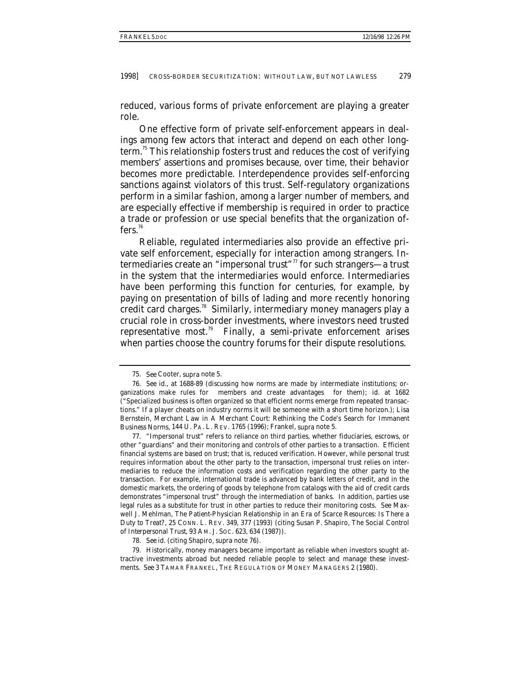reduced, various forms of private enforcement are playing a greater role.

One effective form of private self-enforcement appears in dealings among few actors that interact and depend on each other longterm.75 This relationship fosters trust and reduces the cost of verifying members' assertions and promises because, over time, their behavior becomes more predictable. Interdependence provides self-enforcing sanctions against violators of this trust. Self-regulatory organizations perform in a similar fashion, among a larger number of members, and are especially effective if membership is required in order to practice a trade or profession or use special benefits that the organization of $fers.<sup>76</sup>$ 

Reliable, regulated intermediaries also provide an effective private self enforcement, especially for interaction among strangers. Intermediaries create an "impersonal trust"<sup> $n$ </sup> for such strangers—a trust in the system that the intermediaries would enforce. Intermediaries have been performing this function for centuries, for example, by paying on presentation of bills of lading and more recently honoring credit card charges.<sup>78</sup> Similarly, intermediary money managers play a crucial role in cross-border investments, where investors need trusted representative most.<sup>79</sup> Finally, a semi-private enforcement arises when parties choose the country forums for their dispute resolutions.

<sup>75.</sup> *See* Cooter, *supra* note 5.

<sup>76.</sup> *See id.*, at 1688-89 (discussing how norms are made by intermediate institutions; organizations make rules for members and create advantages for them); *id.* at 1682 ("Specialized business is often organized so that efficient norms emerge from repeated transactions." If a player cheats on industry norms it will be someone with a short time horizon.); Lisa Bernstein, *Merchant Law in A Merchant Court: Rethinking the Code's Search for Immanent Business Norms,* 144 U. PA. L. REV. 1765 (1996); Frankel, *supra* note 5.

<sup>77. &</sup>quot;Impersonal trust" refers to reliance on third parties, whether fiduciaries, escrows, or other "guardians" and their monitoring and controls of other parties to a transaction. Efficient financial systems are based on trust; that is, reduced verification. However, while personal trust requires information about the other party to the transaction, impersonal trust relies on intermediaries to reduce the information costs and verification regarding the other party to the transaction. For example, international trade is advanced by bank letters of credit, and in the domestic markets, the ordering of goods by telephone from catalogs with the aid of credit cards demonstrates "impersonal trust" through the intermediation of banks. In addition, parties use legal rules as a substitute for trust in other parties to reduce their monitoring costs. *See* Maxwell J. Mehlman, *The Patient-Physician Relationship in an Era of Scarce Resources: Is There a Duty to Treat?*, 25 CONN. L. REV. 349, 377 (1993) (citing Susan P. Shapiro, *The Social Control of Interpersonal Trust*, 93 AM. J. SOC. 623, 634 (1987)).

<sup>78.</sup> *See id*. (citing Shapiro, *supra* note 76).

<sup>79.</sup> Historically, money managers became important as reliable when investors sought attractive investments abroad but needed reliable people to select and manage these investments. *See* 3 TAMAR FRANKEL, THE REGULATION OF MONEY MANAGERS 2 (1980).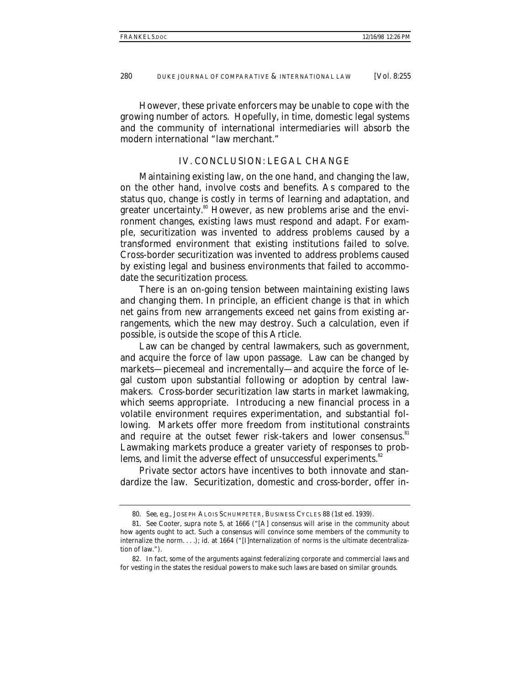However, these private enforcers may be unable to cope with the growing number of actors. Hopefully, in time, domestic legal systems and the community of international intermediaries will absorb the modern international "law merchant."

### IV. CONCLUSION: LEGAL CHANGE

Maintaining existing law, on the one hand, and changing the law, on the other hand, involve costs and benefits. As compared to the status quo, change is costly in terms of learning and adaptation, and greater uncertainty.<sup>80</sup> However, as new problems arise and the environment changes, existing laws must respond and adapt. For example, securitization was invented to address problems caused by a transformed environment that existing institutions failed to solve. Cross-border securitization was invented to address problems caused by existing legal and business environments that failed to accommodate the securitization process.

There is an on-going tension between maintaining existing laws and changing them. In principle, an efficient change is that in which net gains from new arrangements exceed net gains from existing arrangements, which the new may destroy. Such a calculation, even if possible, is outside the scope of this Article.

Law can be changed by central lawmakers, such as government, and acquire the force of law upon passage. Law can be changed by markets—piecemeal and incrementally—and acquire the force of legal custom upon substantial following or adoption by central lawmakers. Cross-border securitization law starts in market lawmaking, which seems appropriate. Introducing a new financial process in a volatile environment requires experimentation, and substantial following. Markets offer more freedom from institutional constraints and require at the outset fewer risk-takers and lower consensus.<sup>81</sup> Lawmaking markets produce a greater variety of responses to problems, and limit the adverse effect of unsuccessful experiments.<sup>82</sup>

Private sector actors have incentives to both innovate and standardize the law. Securitization, domestic and cross-border, offer in-

<sup>80.</sup> *See, e.g.*, JOSEPH ALOIS SCHUMPETER, BUSINESS CYCLES 88 (1st ed. 1939).

<sup>81.</sup> *See* Cooter, *supra* note 5, at 1666 ("[A] consensus will arise in the community about how agents ought to act. Such a consensus will convince some members of the community to internalize the norm. . . .); *id.* at 1664 ("[I]nternalization of norms is the ultimate decentralization of law.").

<sup>82.</sup> In fact, some of the arguments against federalizing corporate and commercial laws and for vesting in the states the residual powers to make such laws are based on similar grounds.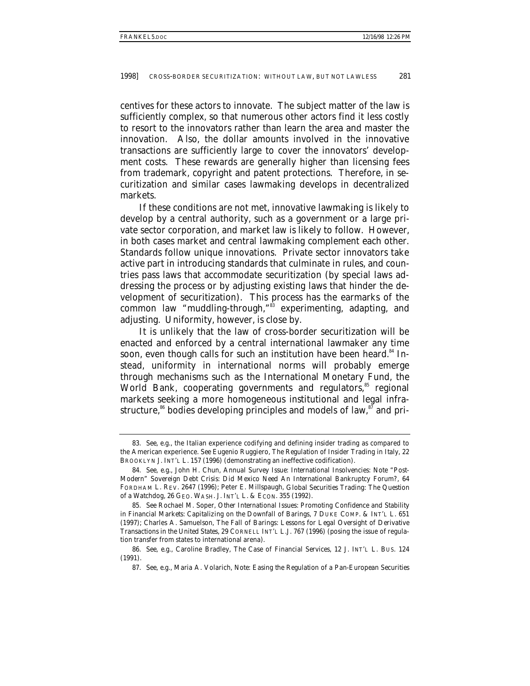centives for these actors to innovate. The subject matter of the law is sufficiently complex, so that numerous other actors find it less costly to resort to the innovators rather than learn the area and master the innovation. Also, the dollar amounts involved in the innovative transactions are sufficiently large to cover the innovators' development costs. These rewards are generally higher than licensing fees from trademark, copyright and patent protections. Therefore, in securitization and similar cases lawmaking develops in decentralized markets.

If these conditions are not met, innovative lawmaking is likely to develop by a central authority, such as a government or a large private sector corporation, and market law is likely to follow. However, in both cases market and central lawmaking complement each other. Standards follow unique innovations. Private sector innovators take active part in introducing standards that culminate in rules, and countries pass laws that accommodate securitization (by special laws addressing the process or by adjusting existing laws that hinder the development of securitization). This process has the earmarks of the common law "muddling-through,"<sup>83</sup> experimenting, adapting, and adjusting. Uniformity, however, is close by.

It is unlikely that the law of cross-border securitization will be enacted and enforced by a central international lawmaker any time soon, even though calls for such an institution have been heard.<sup>84</sup> Instead, uniformity in international norms will probably emerge through mechanisms such as the International Monetary Fund, the World Bank, cooperating governments and regulators,<sup>85</sup> regional markets seeking a more homogeneous institutional and legal infrastructure,<sup>86</sup> bodies developing principles and models of law, $s^{\prime\prime}$  and pri-

<sup>83.</sup> *See, e.g*., the Italian experience codifying and defining insider trading as compared to the American experience. *See* Eugenio Ruggiero, *The Regulation of Insider Trading in Italy*, 22 BROOKLYN J. INT'L L. 157 (1996) (demonstrating an ineffective codification).

<sup>84.</sup> *See, e.g.*, John H. Chun, *Annual Survey Issue: International Insolvencies: Note "Post-Modern" Sovereign Debt Crisis: Did Mexico Need An International Bankruptcy Forum?,* 64 FORDHAM L. REV. 2647 (1996); Peter E. Millspaugh, *Global Securities Trading: The Question of a Watchdog*, 26 GEO. WASH. J. INT'L L. & ECON. 355 (1992).

<sup>85.</sup> *See* Rochael M. Soper, *Other International Issues: Promoting Confidence and Stability in Financial Markets: Capitalizing on the Downfall of Barings,* 7 DUKE COMP. & INT'L L. 651 (1997); Charles A. Samuelson, *The Fall of Barings: Lessons for Legal Oversight of Derivative Transactions in the United States,* 29 CORNELL INT'L L.J. 767 (1996) (posing the issue of regulation transfer from states to international arena).

<sup>86.</sup> *See, e.g.,* Caroline Bradley, *The Case of Financial Services,* 12 J. INT'L L. BUS. 124 (1991).

<sup>87.</sup> *See, e.g.,* Maria A. Volarich, *Note: Easing the Regulation of a Pan-European Securities*